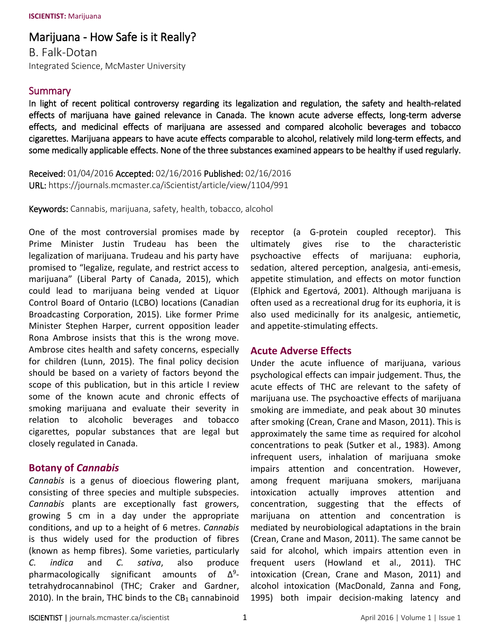# Marijuana - How Safe is it Really?

B. Falk-Dotan Integrated Science, McMaster University

#### Summary

In light of recent political controversy regarding its legalization and regulation, the safety and health-related effects of marijuana have gained relevance in Canada. The known acute adverse effects, long-term adverse effects, and medicinal effects of marijuana are assessed and compared alcoholic beverages and tobacco cigarettes. Marijuana appears to have acute effects comparable to alcohol, relatively mild long-term effects, and some medically applicable effects. None of the three substances examined appears to be healthy if used regularly.

Received: 01/04/2016 Accepted: 02/16/2016 Published: 02/16/2016 URL: https://journals.mcmaster.ca/iScientist/article/view/1104/991

Keywords: Cannabis, marijuana, safety, health, tobacco, alcohol

One of the most controversial promises made by Prime Minister Justin Trudeau has been the legalization of marijuana. Trudeau and his party have promised to "legalize, regulate, and restrict access to marijuana" (Liberal Party of Canada, 2015), which could lead to marijuana being vended at Liquor Control Board of Ontario (LCBO) locations (Canadian Broadcasting Corporation, 2015). Like former Prime Minister Stephen Harper, current opposition leader Rona Ambrose insists that this is the wrong move. Ambrose cites health and safety concerns, especially for children (Lunn, 2015). The final policy decision should be based on a variety of factors beyond the scope of this publication, but in this article I review some of the known acute and chronic effects of smoking marijuana and evaluate their severity in relation to alcoholic beverages and tobacco cigarettes, popular substances that are legal but closely regulated in Canada.

### **Botany of** *Cannabis*

*Cannabis* is a genus of dioecious flowering plant, consisting of three species and multiple subspecies. *Cannabis* plants are exceptionally fast growers, growing 5 cm in a day under the appropriate conditions, and up to a height of 6 metres. *Cannabis* is thus widely used for the production of fibres (known as hemp fibres). Some varieties, particularly *C. indica* and *C. sativa*, also produce pharmacologically significant amounts of  $\Delta^9$ tetrahydrocannabinol (THC; Craker and Gardner, 2010). In the brain, THC binds to the  $CB<sub>1</sub>$  cannabinoid

receptor (a G-protein coupled receptor). This ultimately gives rise to the characteristic psychoactive effects of marijuana: euphoria, sedation, altered perception, analgesia, anti-emesis, appetite stimulation, and effects on motor function (Elphick and Egertová, 2001). Although marijuana is often used as a recreational drug for its euphoria, it is also used medicinally for its analgesic, antiemetic, and appetite-stimulating effects.

#### **Acute Adverse Effects**

Under the acute influence of marijuana, various psychological effects can impair judgement. Thus, the acute effects of THC are relevant to the safety of marijuana use. The psychoactive effects of marijuana smoking are immediate, and peak about 30 minutes after smoking (Crean, Crane and Mason, 2011). This is approximately the same time as required for alcohol concentrations to peak (Sutker et al., 1983). Among infrequent users, inhalation of marijuana smoke impairs attention and concentration. However, among frequent marijuana smokers, marijuana intoxication actually improves attention and concentration, suggesting that the effects of marijuana on attention and concentration is mediated by neurobiological adaptations in the brain (Crean, Crane and Mason, 2011). The same cannot be said for alcohol, which impairs attention even in frequent users (Howland et al., 2011). THC intoxication (Crean, Crane and Mason, 2011) and alcohol intoxication (MacDonald, Zanna and Fong, 1995) both impair decision-making latency and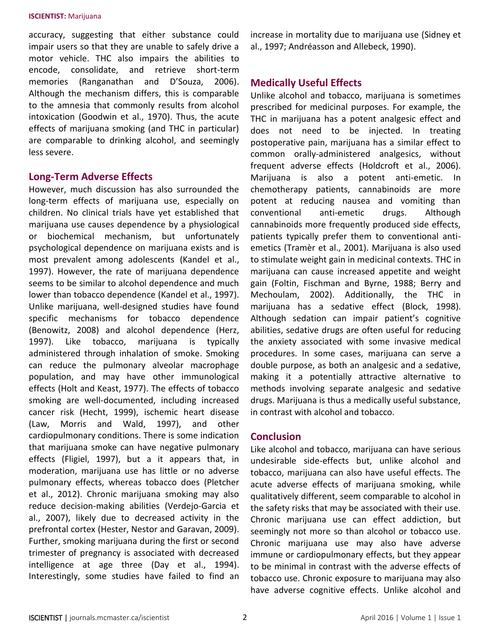accuracy, suggesting that either substance could impair users so that they are unable to safely drive a motor vehicle. THC also impairs the abilities to encode, consolidate, and retrieve short-term memories (Ranganathan and D'Souza, 2006). Although the mechanism differs, this is comparable to the amnesia that commonly results from alcohol intoxication (Goodwin et al., 1970). Thus, the acute effects of marijuana smoking (and THC in particular) are comparable to drinking alcohol, and seemingly less severe.

#### **Long-Term Adverse Effects**

However, much discussion has also surrounded the long-term effects of marijuana use, especially on children. No clinical trials have yet established that marijuana use causes dependence by a physiological or biochemical mechanism, but unfortunately psychological dependence on marijuana exists and is most prevalent among adolescents (Kandel et al., 1997). However, the rate of marijuana dependence seems to be similar to alcohol dependence and much lower than tobacco dependence (Kandel et al., 1997). Unlike marijuana, well-designed studies have found specific mechanisms for tobacco dependence (Benowitz, 2008) and alcohol dependence (Herz, 1997). Like tobacco, marijuana is typically administered through inhalation of smoke. Smoking can reduce the pulmonary alveolar macrophage population, and may have other immunological effects (Holt and Keast, 1977). The effects of tobacco smoking are well-documented, including increased cancer risk (Hecht, 1999), ischemic heart disease (Law, Morris and Wald, 1997), and other cardiopulmonary conditions. There is some indication that marijuana smoke can have negative pulmonary effects (Fligiel, 1997), but a it appears that, in moderation, marijuana use has little or no adverse pulmonary effects, whereas tobacco does (Pletcher et al., 2012). Chronic marijuana smoking may also reduce decision-making abilities (Verdejo-Garcia et al., 2007), likely due to decreased activity in the prefrontal cortex (Hester, Nestor and Garavan, 2009). Further, smoking marijuana during the first or second trimester of pregnancy is associated with decreased intelligence at age three (Day et al., 1994). Interestingly, some studies have failed to find an

increase in mortality due to marijuana use (Sidney et al., 1997; Andréasson and Allebeck, 1990).

## **Medically Useful Effects**

Unlike alcohol and tobacco, marijuana is sometimes prescribed for medicinal purposes. For example, the THC in marijuana has a potent analgesic effect and does not need to be injected. In treating postoperative pain, marijuana has a similar effect to common orally-administered analgesics, without frequent adverse effects (Holdcroft et al., 2006). Marijuana is also a potent anti-emetic. In chemotherapy patients, cannabinoids are more potent at reducing nausea and vomiting than conventional anti-emetic drugs. Although cannabinoids more frequently produced side effects, patients typically prefer them to conventional antiemetics (Tramèr et al., 2001). Marijuana is also used to stimulate weight gain in medicinal contexts. THC in marijuana can cause increased appetite and weight gain (Foltin, Fischman and Byrne, 1988; Berry and Mechoulam, 2002). Additionally, the THC in marijuana has a sedative effect (Block, 1998). Although sedation can impair patient's cognitive abilities, sedative drugs are often useful for reducing the anxiety associated with some invasive medical procedures. In some cases, marijuana can serve a double purpose, as both an analgesic and a sedative, making it a potentially attractive alternative to methods involving separate analgesic and sedative drugs. Marijuana is thus a medically useful substance, in contrast with alcohol and tobacco.

### **Conclusion**

Like alcohol and tobacco, marijuana can have serious undesirable side-effects but, unlike alcohol and tobacco, marijuana can also have useful effects. The acute adverse effects of marijuana smoking, while qualitatively different, seem comparable to alcohol in the safety risks that may be associated with their use. Chronic marijuana use can effect addiction, but seemingly not more so than alcohol or tobacco use. Chronic marijuana use may also have adverse immune or cardiopulmonary effects, but they appear to be minimal in contrast with the adverse effects of tobacco use. Chronic exposure to marijuana may also have adverse cognitive effects. Unlike alcohol and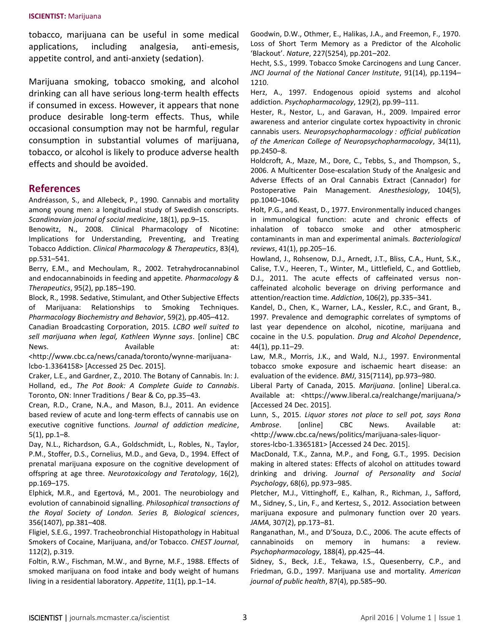tobacco, marijuana can be useful in some medical applications, including analgesia, anti-emesis, appetite control, and anti-anxiety (sedation).

Marijuana smoking, tobacco smoking, and alcohol drinking can all have serious long-term health effects if consumed in excess. However, it appears that none produce desirable long-term effects. Thus, while occasional consumption may not be harmful, regular consumption in substantial volumes of marijuana, tobacco, or alcohol is likely to produce adverse health effects and should be avoided.

#### **References**

Andréasson, S., and Allebeck, P., 1990. Cannabis and mortality among young men: a longitudinal study of Swedish conscripts. *Scandinavian journal of social medicine*, 18(1), pp.9–15.

Benowitz, N., 2008. Clinical Pharmacology of Nicotine: Implications for Understanding, Preventing, and Treating Tobacco Addiction. *Clinical Pharmacology & Therapeutics*, 83(4), pp.531–541.

Berry, E.M., and Mechoulam, R., 2002. Tetrahydrocannabinol and endocannabinoids in feeding and appetite. *Pharmacology & Therapeutics*, 95(2), pp.185–190.

Block, R., 1998. Sedative, Stimulant, and Other Subjective Effects of Marijuana: Relationships to Smoking Techniques. *Pharmacology Biochemistry and Behavior*, 59(2), pp.405–412.

Canadian Broadcasting Corporation, 2015. *LCBO well suited to sell marijuana when legal, Kathleen Wynne says*. [online] CBC News. **Available at:** Available **at:** at:

<http://www.cbc.ca/news/canada/toronto/wynne-marijuanalcbo-1.3364158> [Accessed 25 Dec. 2015].

Craker, L.E., and Gardner, Z., 2010. The Botany of Cannabis. In: J. Holland, ed., *The Pot Book: A Complete Guide to Cannabis*. Toronto, ON: Inner Traditions / Bear & Co, pp.35–43.

Crean, R.D., Crane, N.A., and Mason, B.J., 2011. An evidence based review of acute and long-term effects of cannabis use on executive cognitive functions. *Journal of addiction medicine*, 5(1), pp.1–8.

Day, N.L., Richardson, G.A., Goldschmidt, L., Robles, N., Taylor, P.M., Stoffer, D.S., Cornelius, M.D., and Geva, D., 1994. Effect of prenatal marijuana exposure on the cognitive development of offspring at age three. *Neurotoxicology and Teratology*, 16(2), pp.169–175.

Elphick, M.R., and Egertová, M., 2001. The neurobiology and evolution of cannabinoid signalling. *Philosophical transactions of the Royal Society of London. Series B, Biological sciences*, 356(1407), pp.381–408.

Fligiel, S.E.G., 1997. Tracheobronchial Histopathology in Habitual Smokers of Cocaine, Marijuana, and/or Tobacco. *CHEST Journal*, 112(2), p.319.

Foltin, R.W., Fischman, M.W., and Byrne, M.F., 1988. Effects of smoked marijuana on food intake and body weight of humans living in a residential laboratory. *Appetite*, 11(1), pp.1–14.

Goodwin, D.W., Othmer, E., Halikas, J.A., and Freemon, F., 1970. Loss of Short Term Memory as a Predictor of the Alcoholic 'Blackout'. *Nature*, 227(5254), pp.201–202.

Hecht, S.S., 1999. Tobacco Smoke Carcinogens and Lung Cancer. *JNCI Journal of the National Cancer Institute*, 91(14), pp.1194– 1210.

Herz, A., 1997. Endogenous opioid systems and alcohol addiction. *Psychopharmacology*, 129(2), pp.99–111.

Hester, R., Nestor, L., and Garavan, H., 2009. Impaired error awareness and anterior cingulate cortex hypoactivity in chronic cannabis users. *Neuropsychopharmacology : official publication of the American College of Neuropsychopharmacology*, 34(11), pp.2450–8.

Holdcroft, A., Maze, M., Dore, C., Tebbs, S., and Thompson, S., 2006. A Multicenter Dose-escalation Study of the Analgesic and Adverse Effects of an Oral Cannabis Extract (Cannador) for Postoperative Pain Management. *Anesthesiology*, 104(5), pp.1040–1046.

Holt, P.G., and Keast, D., 1977. Environmentally induced changes in immunological function: acute and chronic effects of inhalation of tobacco smoke and other atmospheric contaminants in man and experimental animals. *Bacteriological reviews*, 41(1), pp.205–16.

Howland, J., Rohsenow, D.J., Arnedt, J.T., Bliss, C.A., Hunt, S.K., Calise, T.V., Heeren, T., Winter, M., Littlefield, C., and Gottlieb, D.J., 2011. The acute effects of caffeinated versus noncaffeinated alcoholic beverage on driving performance and attention/reaction time. *Addiction*, 106(2), pp.335–341.

Kandel, D., Chen, K., Warner, L.A., Kessler, R.C., and Grant, B., 1997. Prevalence and demographic correlates of symptoms of last year dependence on alcohol, nicotine, marijuana and cocaine in the U.S. population. *Drug and Alcohol Dependence*, 44(1), pp.11–29.

Law, M.R., Morris, J.K., and Wald, N.J., 1997. Environmental tobacco smoke exposure and ischaemic heart disease: an evaluation of the evidence. *BMJ*, 315(7114), pp.973–980.

Liberal Party of Canada, 2015. *Marijuana*. [online] Liberal.ca. Available at: <https://www.liberal.ca/realchange/marijuana/> [Accessed 24 Dec. 2015].

Lunn, S., 2015. *Liquor stores not place to sell pot, says Rona Ambrose*. [online] CBC News. Available at: <http://www.cbc.ca/news/politics/marijuana-sales-liquorstores-lcbo-1.3365181> [Accessed 24 Dec. 2015].

MacDonald, T.K., Zanna, M.P., and Fong, G.T., 1995. Decision making in altered states: Effects of alcohol on attitudes toward drinking and driving. *Journal of Personality and Social Psychology*, 68(6), pp.973–985.

Pletcher, M.J., Vittinghoff, E., Kalhan, R., Richman, J., Safford, M., Sidney, S., Lin, F., and Kertesz, S., 2012. Association between marijuana exposure and pulmonary function over 20 years. *JAMA*, 307(2), pp.173–81.

Ranganathan, M., and D'Souza, D.C., 2006. The acute effects of cannabinoids on memory in humans: a review. *Psychopharmacology*, 188(4), pp.425–44.

Sidney, S., Beck, J.E., Tekawa, I.S., Quesenberry, C.P., and Friedman, G.D., 1997. Marijuana use and mortality. *American journal of public health*, 87(4), pp.585–90.